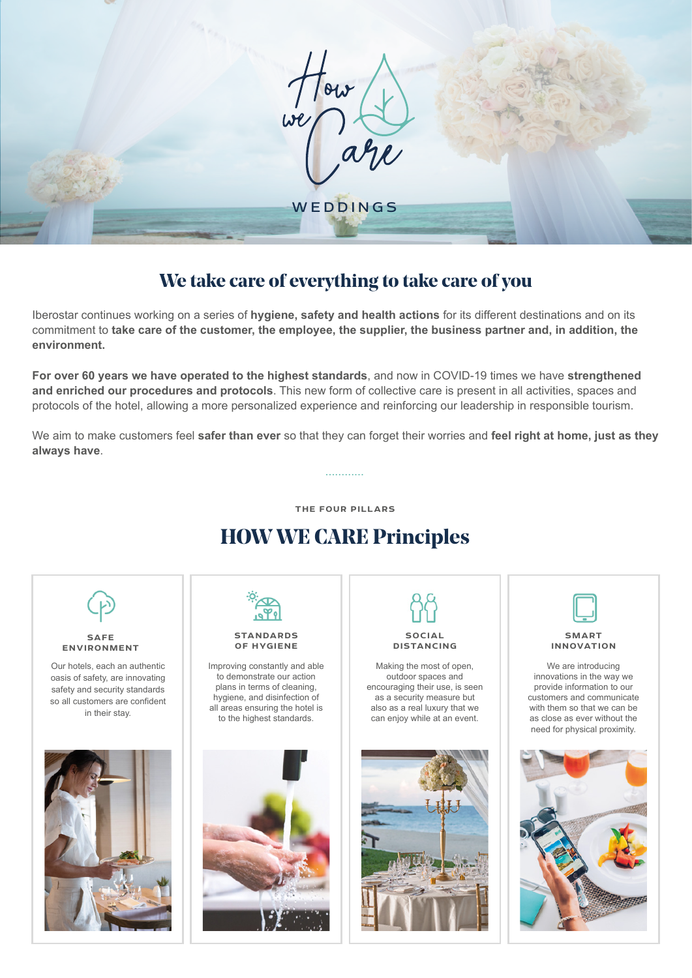

# **We take care of everything to take care of you**

Iberostar continues working on a series of **hygiene, safety and health actions** for its different destinations and on its commitment to **take care of the customer, the employee, the supplier, the business partner and, in addition, the environment.**

**For over 60 years we have operated to the highest standards**, and now in COVID-19 times we have **strengthened and enriched our procedures and protocols**. This new form of collective care is present in all activities, spaces and protocols of the hotel, allowing a more personalized experience and reinforcing our leadership in responsible tourism.

We aim to make customers feel **safer than ever** so that they can forget their worries and **feel right at home, just as they always have**.

**............**

**THE FOUR PILLARS**

# **HOW WE CARE Principles**

**SAFE ENVIRONMENT** 

Our hotels, each an authentic oasis of safety, are innovating safety and security standards so all customers are confident in their stay.





#### **STANDARDS OF HYGIENE**

Improving constantly and able to demonstrate our action plans in terms of cleaning, hygiene, and disinfection of all areas ensuring the hotel is to the highest standards.



**DISTANCING**

Making the most of open, outdoor spaces and encouraging their use, is seen as a security measure but also as a real luxury that we can enjoy while at an event.





**SMART INNOVATION**

We are introducing innovations in the way we provide information to our customers and communicate with them so that we can be as close as ever without the need for physical proximity.